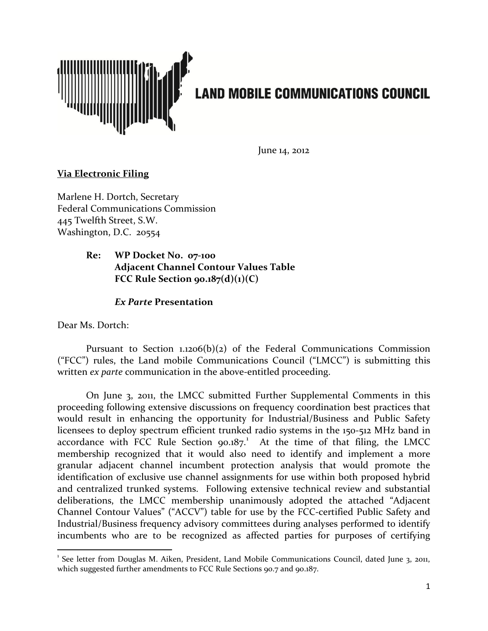

June 14, 2012

## **Via Electronic Filing**

Marlene H. Dortch, Secretary Federal Communications Commission 445 Twelfth Street, S.W. Washington, D.C. 20554

## **Re: WP Docket No. 07-100 Adjacent Channel Contour Values Table FCC Rule Section 90.187(d)(1)(C)**

## *Ex Parte* **Presentation**

Dear Ms. Dortch:

Pursuant to Section  $1.1206(b)(2)$  of the Federal Communications Commission ("FCC") rules, the Land mobile Communications Council ("LMCC") is submitting this written *ex parte* communication in the above-entitled proceeding.

On June 3, 2011, the LMCC submitted Further Supplemental Comments in this proceeding following extensive discussions on frequency coordination best practices that would result in enhancing the opportunity for Industrial/Business and Public Safety licensees to deploy spectrum efficient trunked radio systems in the 150-512 MHz band in accordance with FCC Rule Section  $90.187$  $90.187$  $90.187$ <sup>1</sup> At the time of that filing, the LMCC membership recognized that it would also need to identify and implement a more granular adjacent channel incumbent protection analysis that would promote the identification of exclusive use channel assignments for use within both proposed hybrid and centralized trunked systems. Following extensive technical review and substantial deliberations, the LMCC membership unanimously adopted the attached "Adjacent Channel Contour Values" ("ACCV") table for use by the FCC-certified Public Safety and Industrial/Business frequency advisory committees during analyses performed to identify incumbents who are to be recognized as affected parties for purposes of certifying

<span id="page-0-0"></span><sup>&</sup>lt;sup>1</sup> See letter from Douglas M. Aiken, President, Land Mobile Communications Council, dated June 3, 2011, which suggested further amendments to FCC Rule Sections 90.7 and 90.187.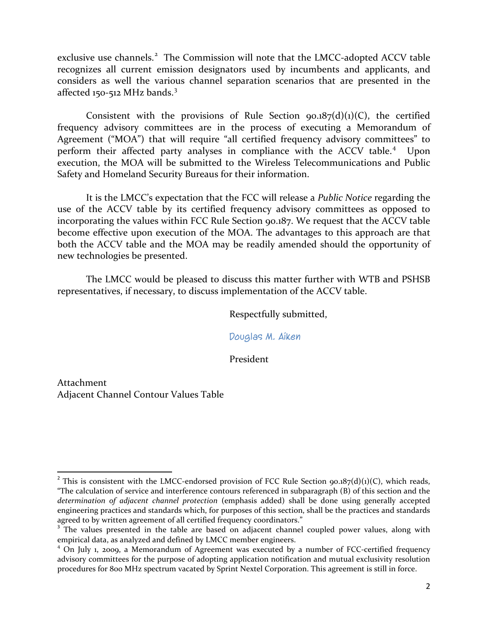exclusive use channels.<sup>[2](#page-1-0)</sup> The Commission will note that the LMCC-adopted ACCV table recognizes all current emission designators used by incumbents and applicants, and considers as well the various channel separation scenarios that are presented in the affected 150-512 MHz bands.<sup>[3](#page-1-1)</sup>

Consistent with the provisions of Rule Section  $90.187(d)(1)(C)$ , the certified frequency advisory committees are in the process of executing a Memorandum of Agreement ("MOA") that will require "all certified frequency advisory committees" to perform their affected party analyses in compliance with the ACCV table.<sup>[4](#page-1-2)</sup> Upon execution, the MOA will be submitted to the Wireless Telecommunications and Public Safety and Homeland Security Bureaus for their information.

It is the LMCC's expectation that the FCC will release a *Public Notice* regarding the use of the ACCV table by its certified frequency advisory committees as opposed to incorporating the values within FCC Rule Section 90.187. We request that the ACCV table become effective upon execution of the MOA. The advantages to this approach are that both the ACCV table and the MOA may be readily amended should the opportunity of new technologies be presented.

The LMCC would be pleased to discuss this matter further with WTB and PSHSB representatives, if necessary, to discuss implementation of the ACCV table.

Respectfully submitted,

Douglas M. Aiken

President

Attachment Adjacent Channel Contour Values Table

<span id="page-1-0"></span><sup>&</sup>lt;sup>2</sup> This is consistent with the LMCC-endorsed provision of FCC Rule Section 90.187(d)(1)(C), which reads, "The calculation of service and interference contours referenced in subparagraph (B) of this section and the *determination of adjacent channel protection* (emphasis added) shall be done using generally accepted engineering practices and standards which, for purposes of this section, shall be the practices and standards agreed to by written agreement of all certified frequency coordinators."

<span id="page-1-1"></span>The values presented in the table are based on adjacent channel coupled power values, along with empirical data, as analyzed and defined by LMCC member engineers.

<span id="page-1-2"></span><sup>&</sup>lt;sup>4</sup> On July 1, 2009, a Memorandum of Agreement was executed by a number of FCC-certified frequency advisory committees for the purpose of adopting application notification and mutual exclusivity resolution procedures for 800 MHz spectrum vacated by Sprint Nextel Corporation. This agreement is still in force.